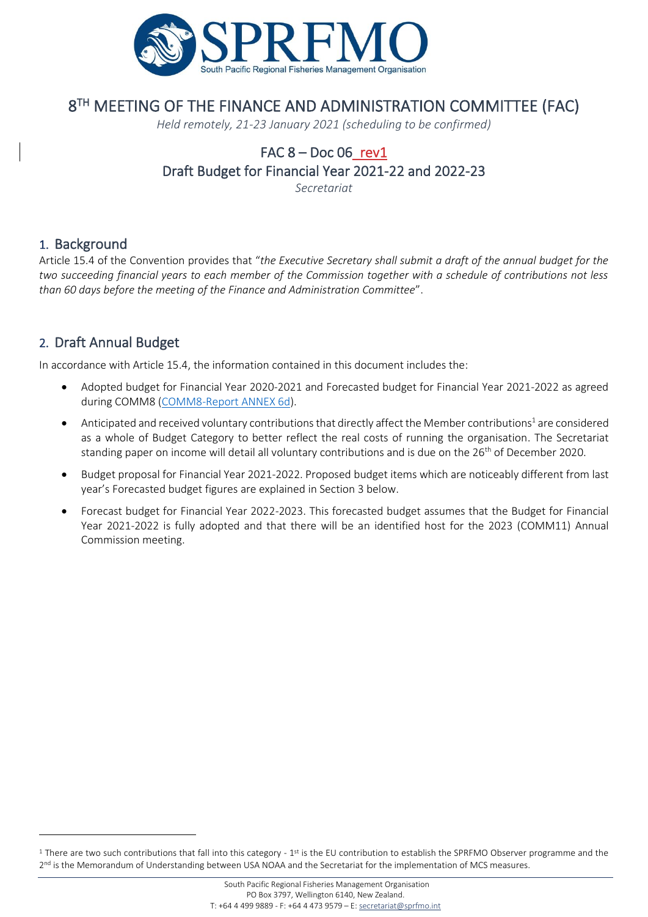

# 8 TH MEETING OF THE FINANCE AND ADMINISTRATION COMMITTEE (FAC)

*Held remotely, 21-23 January 2021 (scheduling to be confirmed)*

# FAC  $8 - Doc06$ rev1 Draft Budget for Financial Year 2021-22 and 2022-23

*Secretariat*

#### 1. Background

Article 15.4 of the Convention provides that "*the Executive Secretary shall submit a draft of the annual budget for the two succeeding financial years to each member of the Commission together with a schedule of contributions not less than 60 days before the meeting of the Finance and Administration Committee*".

#### 2. Draft Annual Budget

In accordance with Article 15.4, the information contained in this document includes the:

- Adopted budget for Financial Year 2020-2021 and Forecasted budget for Financial Year 2021-2022 as agreed during COMM8 [\(COMM8-Report ANNEX 6d](http://www.sprfmo.int/assets/2020-Annual-Meeting/Reports/Annex-6d-Budget-for-2020-21.pdf)).
- $\bullet$  Anticipated and received voluntary contributions that directly affect the Member contributions<sup>1</sup> are considered as a whole of Budget Category to better reflect the real costs of running the organisation. The Secretariat standing paper on income will detail all voluntary contributions and is due on the 26<sup>th</sup> of December 2020.
- Budget proposal for Financial Year 2021-2022. Proposed budget items which are noticeably different from last year's Forecasted budget figures are explained in Section 3 below.
- Forecast budget for Financial Year 2022-2023. This forecasted budget assumes that the Budget for Financial Year 2021-2022 is fully adopted and that there will be an identified host for the 2023 (COMM11) Annual Commission meeting.

 $1$  There are two such contributions that fall into this category -  $1<sup>st</sup>$  is the EU contribution to establish the SPRFMO Observer programme and the 2<sup>nd</sup> is the Memorandum of Understanding between USA NOAA and the Secretariat for the implementation of MCS measures.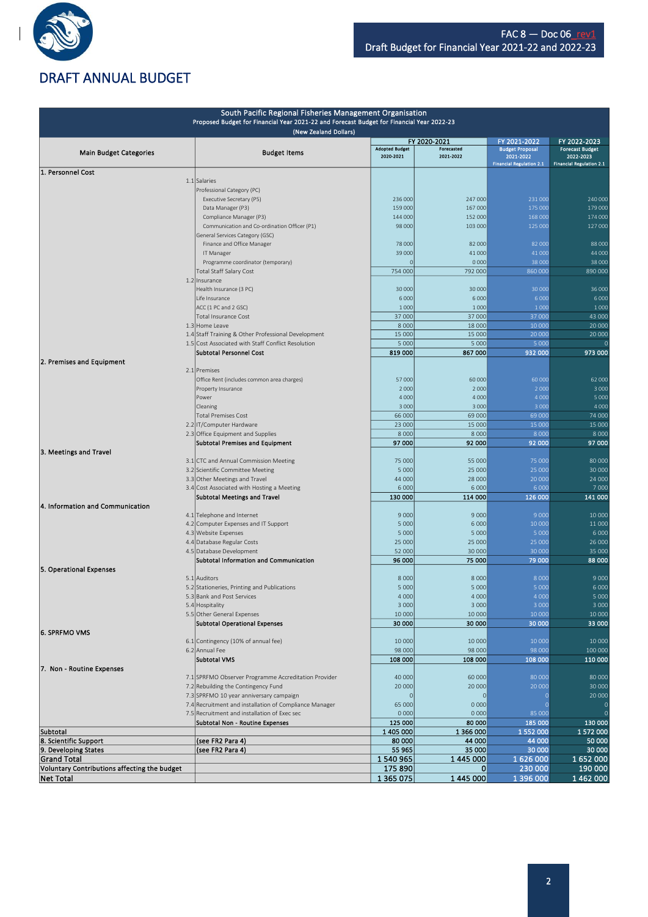

Ī

### DRAFT ANNUAL BUDGET

| South Pacific Regional Fisheries Management Organisation |  |                                                                                                        |                       |                            |                                        |                                        |  |
|----------------------------------------------------------|--|--------------------------------------------------------------------------------------------------------|-----------------------|----------------------------|----------------------------------------|----------------------------------------|--|
|                                                          |  | Proposed Budget for Financial Year 2021-22 and Forecast Budget for Financial Year 2022-23              |                       |                            |                                        |                                        |  |
|                                                          |  | (New Zealand Dollars)                                                                                  |                       |                            |                                        |                                        |  |
|                                                          |  |                                                                                                        | <b>Adopted Budget</b> | FY 2020-2021<br>Forecasted | FY 2021-2022<br><b>Budget Proposal</b> | FY 2022-2023<br><b>Forecast Budget</b> |  |
| <b>Main Budget Categories</b>                            |  | <b>Budget Items</b>                                                                                    | 2020-2021             | 2021-2022                  | 2021-2022                              | 2022-2023                              |  |
| 1. Personnel Cost                                        |  |                                                                                                        |                       |                            | <b>Financial Regulation 2.1</b>        | <b>Financial Regulation 2.1</b>        |  |
|                                                          |  | 1.1 Salaries                                                                                           |                       |                            |                                        |                                        |  |
|                                                          |  | Professional Category (PC)                                                                             |                       |                            |                                        |                                        |  |
|                                                          |  | Executive Secretary (P5)                                                                               | 236 000               | 247 000                    | 231 000                                | 240 000                                |  |
|                                                          |  | Data Manager (P3)                                                                                      | 159 000               | 167 000                    | 175 000                                | 179 000                                |  |
|                                                          |  | Compliance Manager (P3)                                                                                | 144 000               | 152 000                    | 168 000                                | 174 000                                |  |
|                                                          |  | Communication and Co-ordination Officer (P1)                                                           | 98 000                | 103 000                    | 125 000                                | 127 000                                |  |
|                                                          |  | General Services Category (GSC)<br>Finance and Office Manager                                          | 78 000                | 82 000                     | 82 000                                 | 88 000                                 |  |
|                                                          |  | IT Manager                                                                                             | 39 000                | 41 000                     | 41 000                                 | 44 00C                                 |  |
|                                                          |  | Programme coordinator (temporary)                                                                      |                       | 0000                       | 38 000                                 | 38 000                                 |  |
|                                                          |  | Total Staff Salary Cost                                                                                | 754 000               | 792 000                    | 860 000                                | 890 000                                |  |
|                                                          |  | 1.2 Insurance                                                                                          |                       |                            |                                        |                                        |  |
|                                                          |  | Health Insurance (3 PC)                                                                                | 30 000                | 30 000                     | 30 000                                 | 36 000                                 |  |
|                                                          |  | Life Insurance                                                                                         | 6 0 0 0               | 6 0 0 0                    | 6 0 0 0                                | 6000                                   |  |
|                                                          |  | ACC (1 PC and 2 GSC)                                                                                   | 1 0 0 0               | 1 0 0 0                    | 1 0 0 0                                | 1 0 0 0                                |  |
|                                                          |  | <b>Total Insurance Cost</b>                                                                            | 37 000                | 37 000                     | 37 000                                 | 43 000                                 |  |
|                                                          |  | 1.3 Home Leave<br>1.4 Staff Training & Other Professional Development                                  | 8 0 0 0<br>15 000     | 18 000<br>15 000           | 10 000<br>20 000                       | 20 000<br>20 000                       |  |
|                                                          |  | 1.5 Cost Associated with Staff Conflict Resolution                                                     | 5 0 0 0               | 5 0 0 0                    | 5 0 0 0                                |                                        |  |
|                                                          |  | Subtotal Personnel Cost                                                                                | 819 000               | 867 000                    | 932 000                                | 973 000                                |  |
| 2. Premises and Equipment                                |  |                                                                                                        |                       |                            |                                        |                                        |  |
|                                                          |  | 2.1 Premises                                                                                           |                       |                            |                                        |                                        |  |
|                                                          |  | Office Rent (includes common area charges)                                                             | 57 000                | 60 000                     | 60 000                                 | 62 000                                 |  |
|                                                          |  | Property Insurance                                                                                     | 2 0 0 0               | 2 0 0 0                    | 2 0 0 0                                | 3 0 0 0                                |  |
|                                                          |  | Power                                                                                                  | 4 0 0 0               | 4 0 0 0                    | 4 0 0 0                                | 5 0 0 0                                |  |
|                                                          |  | Cleaning                                                                                               | 3 0 0 0               | 3 0 0 0                    | 3 0 0 0                                | 4 0 0 0                                |  |
|                                                          |  | <b>Total Premises Cost</b><br>2.2 IT/Computer Hardware                                                 | 66 000<br>23 000      | 69 000<br>15 000           | 69 000<br>15 000                       | 74 000<br>15 000                       |  |
|                                                          |  | 2.3 Office Equipment and Supplies                                                                      | 8 0 0 0               | 8 0 0 0                    | 8 0 0 0                                | 8 0 0 0                                |  |
|                                                          |  | <b>Subtotal Premises and Equipment</b>                                                                 | 97 000                | 92 000                     | 92 000                                 | 97 000                                 |  |
| 3. Meetings and Travel                                   |  |                                                                                                        |                       |                            |                                        |                                        |  |
|                                                          |  | 3.1 CTC and Annual Commission Meeting                                                                  | 75 000                | 55 000                     | 75 000                                 | 80 000                                 |  |
|                                                          |  | 3.2 Scientific Committee Meeting                                                                       | 5 0 0 0               | 25 000                     | 25 000                                 | 30 000                                 |  |
|                                                          |  | 3.3 Other Meetings and Travel                                                                          | 44 000                | 28 000                     | 20 000                                 | 24 000                                 |  |
|                                                          |  | 3.4 Cost Associated with Hosting a Meeting                                                             | 6 0 0 0               | 6 0 0 0                    | 6 0 0 0                                | 7000                                   |  |
|                                                          |  | <b>Subtotal Meetings and Travel</b>                                                                    | 130 000               | 114 000                    | 126 000                                | 141 000                                |  |
| 4. Information and Communication                         |  |                                                                                                        |                       |                            |                                        |                                        |  |
|                                                          |  | 4.1 Telephone and Internet<br>4.2 Computer Expenses and IT Support                                     | 9 0 0 0<br>5 0 0 0    | 9 0 0 0<br>6 0 0 0         | 9000<br>10 000                         | 10 000<br>11000                        |  |
|                                                          |  | 4.3 Website Expenses                                                                                   | 5 0 0 0               | 5 0 0 0                    | 5 0 0 0                                | 6 0 0 0                                |  |
|                                                          |  | 4.4 Database Regular Costs                                                                             | 25 000                | 25 000                     | 25 000                                 | 26 000                                 |  |
|                                                          |  | 4.5 Database Development                                                                               | 52 000                | 30 000                     | 30 000                                 | 35 000                                 |  |
|                                                          |  | Subtotal Information and Communication                                                                 | 96 000                | 75 000                     | 79 000                                 | 88 000                                 |  |
| 5. Operational Expenses                                  |  |                                                                                                        |                       |                            |                                        |                                        |  |
|                                                          |  | 5.1 Auditors                                                                                           | 8 0 0 0               | 8 0 0 0                    | 8 0 0 0                                | 9000                                   |  |
|                                                          |  | 5.2 Stationeries, Printing and Publications                                                            | 5 0 0 0               | 5 0 0 0                    | 5 0 0 0                                | 6 0 0 0                                |  |
|                                                          |  | 5.3 Bank and Post Services                                                                             | 4 0 0 0               | 4 0 0 0                    | 4 UUL                                  | <b>5 UUL</b>                           |  |
|                                                          |  | 5.4 Hospitality<br>5.5 Other General Expenses                                                          | 3 0 0 0<br>10 000     | 3 0 0 0<br>10 000          | 3 0 0 0<br>10 000                      | 3 0 0 0<br>10 000                      |  |
|                                                          |  | <b>Subtotal Operational Expenses</b>                                                                   | 30 000                | 30 000                     | 30 000                                 | 33 000                                 |  |
| 6. SPRFMO VMS                                            |  |                                                                                                        |                       |                            |                                        |                                        |  |
|                                                          |  | 6.1 Contingency (10% of annual fee)                                                                    | 10 000                | 10 000                     | 10 000                                 | 10 000                                 |  |
|                                                          |  | 6.2 Annual Fee                                                                                         | 98 000                | 98 000                     | 98 000                                 | 100 000                                |  |
|                                                          |  | <b>Subtotal VMS</b>                                                                                    | 108 000               | 108 000                    | 108 000                                | 110 000                                |  |
| 7. Non - Routine Expenses                                |  |                                                                                                        |                       |                            |                                        |                                        |  |
|                                                          |  | 7.1 SPRFMO Observer Programme Accreditation Provider                                                   | 40 000                | 60 000                     | 80 000                                 | 80 000                                 |  |
|                                                          |  | 7.2 Rebuilding the Contingency Fund                                                                    | 20 000                | 20 000                     | 20 000                                 | 30 000                                 |  |
|                                                          |  | 7.3 SPRFMO 10 year anniversary campaign                                                                |                       | $\mathbf 0$                |                                        | 20 000                                 |  |
|                                                          |  | 7.4 Recruitment and installation of Compliance Manager<br>7.5 Recruitment and installation of Exec sec | 65 000<br>0 0 0 0     | 0 0 0 0<br>0 0 0 0         | -0<br>85 000                           |                                        |  |
|                                                          |  | Subtotal Non - Routine Expenses                                                                        | 125 000               | 80 000                     | 185 000                                | 130 000                                |  |
| Subtotal                                                 |  |                                                                                                        | 1 405 000             | 1 366 000                  | 1 552 000                              | 1572000                                |  |
| 8. Scientific Support                                    |  | (see FR2 Para 4)                                                                                       | 80 000                | 44 000                     | 44 000                                 | 50 000                                 |  |
| 9. Developing States                                     |  | (see FR2 Para 4)                                                                                       | 55 965                | 35 000                     | 30 000                                 | 30 000                                 |  |
| <b>Grand Total</b>                                       |  |                                                                                                        | 1540965               | 1 445 000                  | 1626000                                | 1652000                                |  |
| Voluntary Contributions affecting the budget             |  |                                                                                                        | 175 890               | 0                          | 230 000                                | 190 000                                |  |
| <b>Net Total</b>                                         |  |                                                                                                        | 1 365 075             | 1 445 000                  | 1 396 000                              | 1 462 000                              |  |